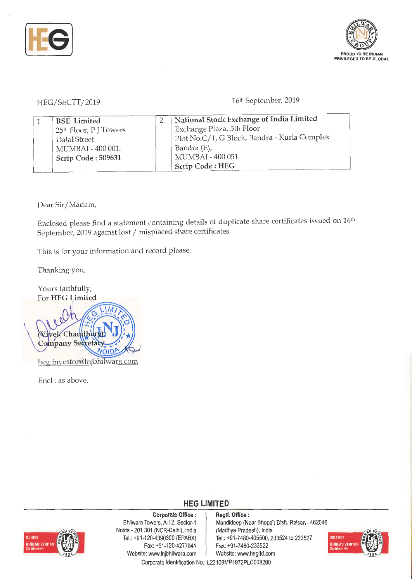



HEG/SECTT/2019

16th September, 2019

| <b>BSE</b> Limited                 | National Stock Exchange of India Limited     |
|------------------------------------|----------------------------------------------|
| 25 <sup>th</sup> Floor, P J Towers | Exchange Plaza, 5th Floor                    |
| Dalal Street                       | Plot No.C/1, G Block, Bandra - Kurla Complex |
| MUMBAI - 400 001.                  | Bandra (E),                                  |
| Scrip Code: 509631                 | MUMBAI - 400 051.                            |
|                                    | Scrip Code: HEG                              |

Dear Sir/ Madam,

Enclosed please find a statement containing details of duplicate share certificates issued on 16<sup>th</sup> September, 2019 against lost / misplaced share certificates.

This is for your information and record please.

Thanking you,

Yours faithfully, For **HEG Limited** 



Encl : as above.



Noida - 201 301 (NCR-Delhi), India (Madhya Pradesh), India Fax: +91-120-4277841 Fax: +91-7480-233522 Website: www.lnjbhilwara.com | Website: www.hegltd.com

**Corporate Office** : **Regd. Office** : Bhilwara Towers, A-12, Sector-1 | Mandideep (Near Bhopal) Distt. Raisen - 462046 Tel.: +91 -120-4390300 (EPABX) Tel.: +91 -7480-405500, 233524 to 233527



Corporate Identification No.: L23109MP1972PLC008290

**HEG LIMITED**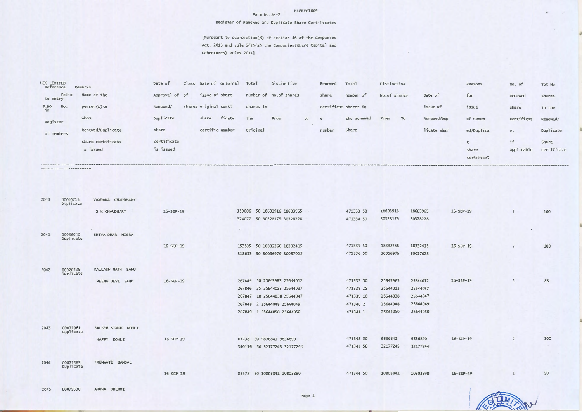## **HLEREGTOOA**

## **Form No . SH -2**

## **Register of Renewed and Duplicate share Certificates**

**[Pu rsuant to sub-section(3) of section 46 of the Companies**  Act, 2013 and rule  $6(3)(a)$  the Companies(Share Capital and Debentures) Rules 2014]

| HEG LIMITED<br>Reference | Remarks           | Date of        |                       | Class Date of Original | Total     | Distinctive            |    | Renewed | Total                | Distinctive  |             | Reasons    | No. of     | Tot No.     |
|--------------------------|-------------------|----------------|-----------------------|------------------------|-----------|------------------------|----|---------|----------------------|--------------|-------------|------------|------------|-------------|
| Folio<br>to entry        | Name of the       | Approval of of | issue of share        |                        |           | number of No.of shares |    | share   | number of            | No.of shares | Date of     | for        | Renewed    | shares      |
| S.MO<br>No.<br>in        | person(s) to      | Renewed/       | shares original certi |                        | shares in |                        |    |         | certificat shares in |              | issue of    | issue      | share      | in the      |
| Register                 | whom              | Duplicate      | share                 | ficate                 | the       | From                   | to |         | the Renewed          | From<br>To   | Renewed/Dup | of Renew   | certificat | Renewed/    |
| of members               | Renewed/Duplicate | share          | certific number       |                        | Original  |                        |    | number  | Share                |              | licate shar | ed/Duplica | e,         | Duplicate   |
|                          | share certificate | certificate    |                       |                        |           |                        |    |         |                      |              |             |            | if         | Share       |
|                          | is issued         | is issued      |                       |                        |           |                        |    |         |                      |              |             | share      | applicable | certificate |
|                          |                   |                |                       |                        |           |                        |    |         |                      |              |             | certificat |            |             |

----------------------------------------

| 2040 | 00060715<br>Duplicate | VANDANA CHAUDHARY  |                 |        |                               |           |          |          |             |                |     |
|------|-----------------------|--------------------|-----------------|--------|-------------------------------|-----------|----------|----------|-------------|----------------|-----|
|      |                       | S K CHAUDHARY      | $16 - 55P - 19$ |        | 159006 50 18603916 18603965 . | 471333 50 | 18603916 | 18603965 | $16-SEP-19$ | $\overline{z}$ | 100 |
|      |                       |                    |                 |        | 324077 50 30328179 30328228   | 471334 50 | 30328179 | 30328228 |             |                |     |
|      |                       | $\sim$             |                 | $\sim$ |                               |           | $\sim$   |          |             |                |     |
| 2041 | 00056040<br>Duplicate | SHIVA DHAR MISRA   |                 |        |                               |           |          |          |             |                |     |
|      |                       |                    | $16-$ SEP-19    |        | 153595 50 18332366 18332415   | 471335 50 | 18332366 | 18332415 | $16-SEP-19$ | $\overline{z}$ | 100 |
|      |                       |                    |                 |        | 318653 50 30056979 30057028   | 471336 50 | 30056979 | 30057028 |             |                |     |
|      |                       |                    |                 |        |                               |           |          |          |             |                |     |
| 2042 | 00020428<br>Duplicate | KAILASH NATH SAHU  |                 |        |                               |           |          |          |             |                |     |
|      |                       | MEENA DEVI SAHU    | $16-SEP-19$     |        | 267845 50 25643963 25644012   | 471337 50 | 25643963 | 25644012 | $16-SEP-19$ | $\overline{5}$ | 88  |
|      |                       |                    |                 |        | 267846 25 25644013 25644037   | 471338 25 | 25644013 | 25644037 |             |                |     |
|      |                       |                    |                 |        | 267847 10 25644038 25644047   | 471339 10 | 25644038 | 25644047 |             |                |     |
|      |                       |                    |                 |        | 267848 2 25644048 25644049    | 471340 2  | 25644048 | 25644049 |             |                |     |
|      |                       |                    |                 |        | 267849 1 25644050 25644050    | 471341 1  | 25644050 | 25644050 |             |                |     |
|      |                       |                    |                 |        |                               |           |          |          |             |                |     |
| 2043 | 00071961<br>Duplicate | BALBIR SINGH KOHLI |                 |        |                               |           |          |          |             |                |     |
|      |                       | HAPPY KOHLI        | $16-SEP-19$     |        | 64238 50 9836841 9836890      | 471342 50 | 9836841  | 9836890  | $16-SEP-19$ | $\overline{2}$ | 100 |
|      |                       |                    |                 |        | 340116 50 32177245 32177294   | 471343 50 | 32177245 | 32177294 |             |                |     |
|      |                       |                    |                 |        |                               |           |          |          |             |                |     |
| 2044 | 00071563<br>Duplicate | PREMWATI BANSAL    |                 |        |                               |           |          |          |             |                |     |
|      |                       |                    | $16-SEP-19$     |        | 83578 50 10803841 10803890    | 471344 50 | 10803841 | 10803890 | $16-SEP-19$ | $\mathbf{1}$   | 50  |
|      |                       |                    |                 |        |                               |           |          |          |             |                |     |

2045 00079330 ARUNA OBEROI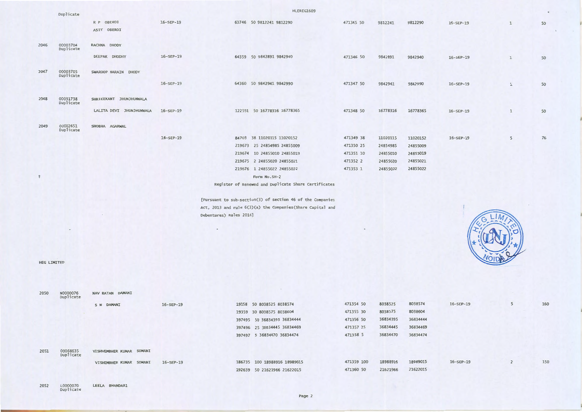|               | Duplicate             |                           |                 | HLEREG1609                                           |           |          |          |               |              | $\blacksquare$ |
|---------------|-----------------------|---------------------------|-----------------|------------------------------------------------------|-----------|----------|----------|---------------|--------------|----------------|
|               |                       | R P OBEROI<br>ASIT OBEROI | $16-SEP-19$     | 63746 50 9812241 9812290                             | 471345 50 | 9812241  | 9812290  | $16-SEP-19$   | 1            | 50             |
| 2046          | 00003704<br>Duplicate | RACHNA DHODY              |                 |                                                      |           |          |          |               |              |                |
|               |                       | DEEPAK DHODHY             | $16 - SEP-19$   | 64359 50 9842891 9842940                             | 471346 50 | 9842891  | 9842940  | $16-SEP-19$   | $\mathbf{1}$ | 50             |
| 2047          | 00003705<br>Duplicate | SWAROOP NARAIN DHODY      |                 |                                                      |           |          |          |               |              |                |
|               |                       |                           | $16-SEP-19$     | 64360 50 9842941 9842990                             | 471347 50 | 9842941  | 9842990  | $16-SEP-19$   | $\mathbf{1}$ | 50             |
| 2048          | 00031738<br>Duplicate | SHRIEEKANT JHUNJHUNWALA   |                 |                                                      |           |          |          |               |              |                |
|               |                       | LALITA DEVI JHUNJHUNWALA  | $16 - SEP - 19$ | 122591 50 16778316 16778365                          | 471348 50 | 16778316 | 16778365 | $16 - SEP-19$ | 1            | 50             |
| 2049          | 00002651<br>Duplicate | SHOBHA AGARWAL            |                 |                                                      |           |          |          |               |              |                |
|               |                       |                           | $16-SEP-19$     | 84703 38 11020115 11020152                           | 471349 38 | 11020115 | 11020152 | $16-SEP-19$   | 5            | 76             |
|               |                       |                           |                 | 219673 25 24854985 24855009                          | 471350 25 | 24854985 | 24855009 |               |              |                |
|               |                       |                           |                 | 219674 10 24855010 24855019                          | 471351 10 | 24855010 | 24855019 |               |              |                |
|               |                       |                           |                 | 219675 2 24855020 24855021                           | 471352 2  | 24855020 | 24855021 |               |              |                |
|               |                       |                           |                 | 219676 1 24855022 24855022                           | 471353 1  | 24855022 | 24855022 |               |              |                |
| $\frac{8}{1}$ |                       |                           |                 | Form No.SH-2                                         |           |          |          |               |              |                |
|               |                       |                           |                 | Register of Renewed and Duplicate Share Certificates |           |          |          |               |              |                |

[Pursuant to sub-section(3) of section 46 of the Companies Act, 2013 and rule 6(3)(a) the Companies (Share Capital and Debentures) Rules 2014]

 $\sim$ 

HEG LIMITED

| 2050 | N0000076<br>Duplicate | NAV RATAN DAMANI           |               |  |                              |            |          |          |                 |  |     |  |
|------|-----------------------|----------------------------|---------------|--|------------------------------|------------|----------|----------|-----------------|--|-----|--|
|      |                       | S N DAMANI                 | $16 - SEP-19$ |  | 19358 50 8038525 8038574     | 471354 50  | 8038525  | 8038574  | $16-$ SEP $-19$ |  | 160 |  |
|      |                       |                            |               |  | 19359 30 8038575 8038604     | 471355 30  | 8038575  | 8038604  |                 |  |     |  |
|      |                       |                            |               |  | 397495 50 36834395 36834444  | 471356 50  | 36834395 | 36834444 |                 |  |     |  |
|      |                       |                            |               |  | 397496 25 36834445 36834469  | 471357 25  | 36834445 | 36834469 |                 |  |     |  |
|      |                       |                            |               |  | 397497 5 36834470 36834474   | 471358 5   | 36834470 | 36834474 |                 |  |     |  |
|      |                       |                            |               |  |                              |            |          |          |                 |  |     |  |
| 2051 | 00068635<br>Duplicate | VISHVEMBHER KUMAR SOMANI   |               |  |                              |            |          |          |                 |  |     |  |
|      |                       | SOMANI<br>VISHEMBHER KUMAR | $16-SEP-19$   |  | 186735 100 18988916 18989015 | 471359 100 | 18988916 | 18989015 | $16 - SEP - 19$ |  | 150 |  |
|      |                       |                            |               |  | 192639 50 21621966 21622015  | 471360 50  | 21621966 | 21622015 |                 |  |     |  |
|      |                       |                            |               |  |                              |            |          |          |                 |  |     |  |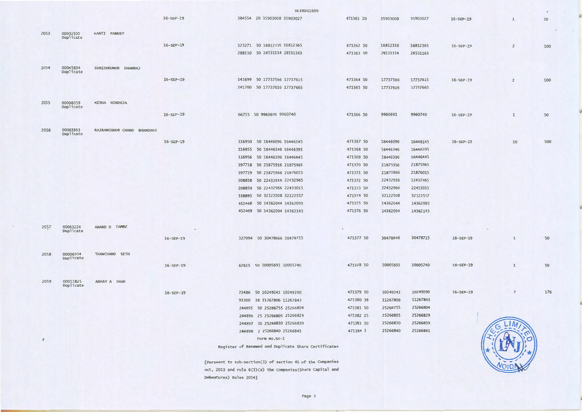|      |                       |                            |                 | HLEREG1609                                                  |                        |                      |                      |             |                |     |
|------|-----------------------|----------------------------|-----------------|-------------------------------------------------------------|------------------------|----------------------|----------------------|-------------|----------------|-----|
|      |                       |                            | $16 - SEP - 19$ | 384554 20 35903008 35903027                                 | 471361 20              | 35903008             | 35903027             | $16-SEP-19$ | $\mathbf{1}$   | 20  |
|      |                       |                            |                 |                                                             |                        |                      |                      |             |                |     |
| 2053 | 00032300<br>Duplicate | KANTI PANDEY               |                 |                                                             |                        |                      |                      |             |                |     |
|      |                       |                            | $16-SEP-19$     | 123271 50 16812316 16812365                                 | 471362 50              | 16812316             | 16812365             | $16-SEP-19$ | $\overline{2}$ |     |
|      |                       |                            |                 | 288110 50 28531114 28531163                                 | 471363 50              | 28531114             | 28531163             |             |                | 100 |
|      |                       |                            |                 |                                                             |                        |                      |                      |             |                |     |
| 2054 | 00045894              | SURESHKUMAR DHANRAJ        |                 |                                                             |                        |                      |                      |             |                |     |
|      | Duplicate             |                            |                 |                                                             |                        |                      |                      |             |                |     |
|      |                       |                            | $16-SEP-19$     | 141699 50 17737566 17737615                                 | 471364 50              | 17737566             | 17737615             | $16-SEP-19$ | $\overline{2}$ | 100 |
|      |                       |                            |                 | 141700 50 17737616 17737665                                 | 471365 50              | 17737616             | 17737665             |             |                |     |
|      |                       |                            |                 |                                                             |                        |                      |                      |             |                |     |
| 2055 | 00006059<br>Duplicate | NISHA HINDUJA              |                 |                                                             |                        |                      |                      |             |                |     |
|      |                       |                            | $16 - SEP - 19$ | 66715 50 9960691 9960740                                    | 471366 50              | 9960691              | 9960740              | $16-SEP-19$ | $\mathbf{1}$   | 50  |
|      |                       |                            |                 |                                                             |                        |                      |                      |             |                |     |
| 2056 | 00063863              | RAJRANCHHOR CHAND BHANDARI |                 |                                                             |                        |                      |                      |             |                |     |
|      | Duplicate             |                            |                 |                                                             |                        |                      |                      |             |                |     |
|      |                       |                            | $16-SEP-19$     | 116950 50 16446096 16446145                                 | 471367 50              | 16446096             | 16446145             | $16-SEP-19$ | 10             | 500 |
|      |                       |                            |                 | 116955 50 16446346 16446395                                 | 471368 50              | 16446346             | 16446395             |             |                |     |
|      |                       |                            |                 | 116956 50 16446396 16446445                                 | 471369 50<br>471370 50 | 16446396             | 16446445             |             |                |     |
|      |                       |                            |                 | 197718 50 21875916 21875965                                 |                        | 21875916             | 21875965             |             |                |     |
|      |                       |                            |                 | 197719 50 21875966 21876015<br>208858 50 22432916 22432965  | 471371 50              | 21875966             | 21876015             |             |                |     |
|      |                       |                            |                 | 208859 50 22432966 22433015                                 | 471372 50<br>471373 50 | 22432916<br>22432966 | 22432965<br>22433015 |             |                |     |
|      |                       |                            |                 | 338895 50 32122508 32122557                                 | 471374 50              | 32122508             | 32122557             |             |                |     |
|      |                       |                            |                 | 452468 50 14362044 14362093                                 | 471375 50              | 14362044             | 14362093             |             |                |     |
|      |                       |                            |                 | 452469 50 14362094 14362143                                 | 471376 50              | 14362094             | 14362143             |             |                |     |
|      |                       |                            |                 |                                                             |                        |                      |                      |             |                |     |
| 2057 | 00063224              | ANAND D TAMBE              |                 |                                                             |                        |                      |                      |             |                |     |
|      | Duplicate             |                            |                 |                                                             |                        |                      |                      |             |                |     |
|      |                       |                            | $16-SEP-19$     | 327094 50 30478666 30478715                                 | 471377 50              | 30478666             | 30478715             | $16-SEP-19$ | $\mathbf{1}$   | 50  |
|      |                       |                            |                 |                                                             |                        |                      |                      |             |                |     |
| 2058 | 00006954<br>Duplicate | THANCHAND SETH             |                 |                                                             |                        |                      |                      |             |                |     |
|      |                       |                            | $16-SEP-19$     | 67615 50 10005691 10005740                                  | 471378 50              | 10005691             | 10005740             | $16-SEP-19$ | $\mathbf{1}$   | 50  |
|      |                       |                            |                 |                                                             |                        |                      |                      |             |                |     |
| 2059 | 00011825              | ABHAY A SHAH               |                 |                                                             |                        |                      |                      |             |                |     |
|      | Duplicate             |                            |                 |                                                             |                        |                      |                      |             |                |     |
|      |                       |                            | $16-SEP-19$     | 72486 50 10249241 10249290                                  | 471379 50              | 10249241             | 10249290             | $16-SEP-19$ | 7              | 176 |
|      |                       |                            |                 | 91300 38 11267806 11267843                                  | 471380 38              | 11267806             | 11267843             |             |                |     |
|      |                       |                            |                 | 244895 50 25266755 25266804                                 | 471381 50              | 25266755             | 25266804             |             |                |     |
|      |                       |                            |                 | 244896 25 25266805 25266829                                 | 471382 25              | 25266805             | 25266829             |             |                |     |
|      |                       |                            |                 | 244897 10 25266830 25266839                                 | 471383 10              | 25266830             | 25266839             |             |                |     |
|      |                       |                            |                 | 244898 2 25266840 25266841                                  | 471384 2               | 25266840             | 25266841             |             |                |     |
| 우    |                       |                            |                 | Form No.SH-2                                                |                        |                      |                      |             |                |     |
|      |                       |                            |                 | Register of Renewed and Duplicate Share Certificates        |                        |                      |                      |             |                |     |
|      |                       |                            |                 |                                                             |                        |                      |                      |             |                |     |
|      |                       |                            |                 | [Pursuant to sub-section(3) of section 46 of the Companies  |                        |                      |                      |             |                |     |
|      |                       |                            |                 | Act, 2013 and rule 6(3)(a) the Companies (Share Capital and |                        |                      |                      |             |                |     |

s

Debentures) Rules 2014]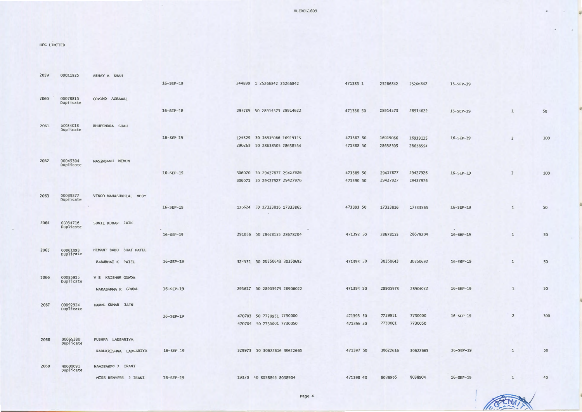| 2060 | 00078810<br>Duplicate | GOVIND AGRAWAL          |               |                                   |           |          |          |                 |                |     |
|------|-----------------------|-------------------------|---------------|-----------------------------------|-----------|----------|----------|-----------------|----------------|-----|
|      |                       |                         | $16-SEP-19$   | 295789 50 28914573 28914622       | 471386 50 | 28914573 | 28914622 | $16-SEP-19$     | $\mathfrak{1}$ | 50  |
| 2061 | 00034018<br>Duplicate | BHUPENDRA SHAH          |               |                                   |           |          |          |                 |                |     |
|      |                       |                         | $16-SEP-19$   | 125329 50 16919066 16919115       | 471387 50 | 16919066 | 16919115 | $16-SEP-19$     | $\overline{2}$ | 100 |
|      |                       |                         |               | 290263 50 28638505 28638554       | 471388 50 | 28638505 | 28638554 |                 |                |     |
| 2062 | 00045304<br>Duplicate | NASIMBANU MEMON         |               |                                   |           |          |          |                 |                |     |
|      |                       |                         | $16-SEP-19$   | 306070   50   29427877   29427926 | 471389 50 | 29427877 | 29427926 | $16-$ SEP $-19$ | $\overline{2}$ | 100 |
|      |                       |                         |               | 306071 50 29427927 29427976       | 471390 50 | 29427927 | 29427976 |                 |                |     |
| 2063 | 00039277<br>Duplicate | VINOD MAHASUKHLAL MODY  |               |                                   |           |          |          |                 |                |     |
|      | $\qquad \qquad$       |                         | $16-SEP-19$   | 133624 50 17333816 17333865       | 471391 50 | 17333816 | 17333865 | $16-$ SEP $-19$ | $\mathbf{1}$   | 50  |
| 2064 | 00034716              | SUNIL KUMAR JAIN        |               |                                   |           |          |          |                 |                |     |
|      | Duplicate             |                         |               |                                   |           |          |          |                 |                |     |
|      |                       |                         | $16-SEP-19$   | 291056 50 28678155 28678204       | 471392 50 | 28678155 | 28678204 | $16-$ SEP-19    | $\mathbf{1}$   | 50  |
| 2065 | 00061093<br>Duplicate | HEMANT BABU BHAI PATEL  |               |                                   |           |          |          |                 |                |     |
|      |                       | <b>BABUBHAI K PATEL</b> | $16-SEP-19$   | 324531 50 30350643 30350692       | 471393 50 | 30350643 | 30350692 | $16-$ SEP-19    | $\mathbf{1}$   | 50  |
| 2066 | 00085915              | V B KRISHNE GOWDA       |               |                                   |           |          |          |                 |                |     |
|      | Duplicate             |                         |               |                                   |           |          |          |                 |                |     |
|      |                       | NARASAMMA K GOWDA       | $16-SEP-19$   | 295617 50 28905973 28906022       | 471394 50 | 28905973 | 28906022 | $16-$ SEP $-19$ | $\mathbf{1}$   | 50  |
| 2067 | 00092924<br>Duplicate | KAMAL KUMAR JAIN        |               |                                   |           |          |          |                 |                |     |
|      |                       |                         | $16 - SEP-19$ | 470703 50 7729951 7730000         | 471395 50 | 7729951  | 7730000  | $16-SEP-19$     | $\overline{2}$ | 100 |
|      |                       |                         |               | 470704 50 7730001 7730050         | 471396 50 | 7730001  | 7730050  |                 |                |     |
| 2068 | 00065380              | PUSHPA LADSARIYA        |               |                                   |           |          |          |                 |                |     |
|      | Duplicate             | RADHKRISHNA LADSARIYA   | $16-SEP-19$   | 329973 50 30622616 30622665       | 471397 50 | 30622616 | 30622665 | $16-SEP-19$     | $\mathbf{1}$   | 50  |
| 2069 | N0000091              | NAAZBANOO J IRANI       |               |                                   |           |          |          |                 |                |     |
|      | Duplicate             |                         |               |                                   |           |          |          |                 |                |     |
|      |                       | MISS BENYFER J IRANI    | $16-SEP-19$   | 19370 40 8038865 8038904          | 471398 40 | 8038865  | 8038904  | $16-SEP-19$     | $\mathbf{1}$   | 40  |

Page 4

HEG LIMITED

2059 00011825

ABHAY A SHAH

 $\sim$ 

 $16-SEP-19$ 

471385 1

25266842 25266842

 $16-$ SEP- $19$ 

244899 1 25266842 25266842

l.  $\omega$  .

 $\epsilon$ 

 $\overline{a}$